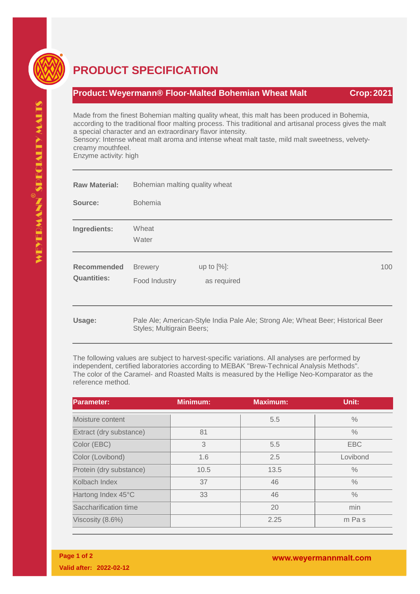

## **PRODUCT SPECIFICATION**

## **Product:Weyermann® Floor-Malted Bohemian Wheat Malt Crop:2021**

Made from the finest Bohemian malting quality wheat, this malt has been produced in Bohemia, according to the traditional floor malting process. This traditional and artisanal process gives the malt a special character and an extraordinary flavor intensity.

Sensory: Intense wheat malt aroma and intense wheat malt taste, mild malt sweetness, velvetycreamy mouthfeel.

Enzyme activity: high

| <b>Raw Material:</b>                     | Bohemian malting quality wheat  |                              |  |                                                                                  |     |
|------------------------------------------|---------------------------------|------------------------------|--|----------------------------------------------------------------------------------|-----|
| Source:                                  | <b>Bohemia</b>                  |                              |  |                                                                                  |     |
| Ingredients:                             | Wheat<br>Water                  |                              |  |                                                                                  |     |
| <b>Recommended</b><br><b>Quantities:</b> | <b>Brewery</b><br>Food Industry | up to $[%]$ :<br>as required |  |                                                                                  | 100 |
| Usage:                                   | Styles; Multigrain Beers;       |                              |  | Pale Ale; American-Style India Pale Ale; Strong Ale; Wheat Beer; Historical Beer |     |

The following values are subject to harvest-specific variations. All analyses are performed by independent, certified laboratories according to MEBAK "Brew-Technical Analysis Methods". The color of the Caramel- and Roasted Malts is measured by the Hellige Neo-Komparator as the reference method.

| <b>Parameter:</b>       | <b>Minimum:</b> | <b>Maximum:</b> | Unit:         |
|-------------------------|-----------------|-----------------|---------------|
| Moisture content        |                 | 5.5             | $\frac{0}{0}$ |
| Extract (dry substance) | 81              |                 | $\frac{0}{0}$ |
| Color (EBC)             | 3               | 5.5             | <b>EBC</b>    |
| Color (Lovibond)        | 1.6             | 2.5             | Lovibond      |
| Protein (dry substance) | 10.5            | 13.5            | $\frac{0}{0}$ |
| Kolbach Index           | 37              | 46              | $\frac{0}{0}$ |
| Hartong Index 45°C      | 33              | 46              | $\frac{0}{0}$ |
| Saccharification time   |                 | 20              | min           |
| Viscosity (8.6%)        |                 | 2.25            | m Pas         |